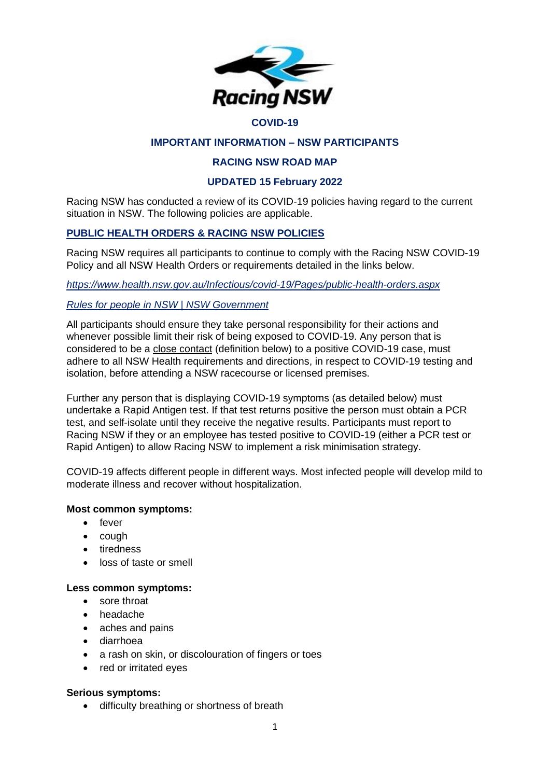

#### **COVID-19**

## **IMPORTANT INFORMATION – NSW PARTICIPANTS**

### **RACING NSW ROAD MAP**

### **UPDATED 15 February 2022**

Racing NSW has conducted a review of its COVID-19 policies having regard to the current situation in NSW. The following policies are applicable.

## **PUBLIC HEALTH ORDERS & RACING NSW POLICIES**

Racing NSW requires all participants to continue to comply with the Racing NSW COVID-19 Policy and all NSW Health Orders or requirements detailed in the links below.

*<https://www.health.nsw.gov.au/Infectious/covid-19/Pages/public-health-orders.aspx>*

### *[Rules for people in NSW | NSW Government](https://www.nsw.gov.au/covid-19/stay-safe/rules/people-in-nsw)*

All participants should ensure they take personal responsibility for their actions and whenever possible limit their risk of being exposed to COVID-19. Any person that is considered to be a close contact (definition below) to a positive COVID-19 case, must adhere to all NSW Health requirements and directions, in respect to COVID-19 testing and isolation, before attending a NSW racecourse or licensed premises.

Further any person that is displaying COVID-19 symptoms (as detailed below) must undertake a Rapid Antigen test. If that test returns positive the person must obtain a PCR test, and self-isolate until they receive the negative results. Participants must report to Racing NSW if they or an employee has tested positive to COVID-19 (either a PCR test or Rapid Antigen) to allow Racing NSW to implement a risk minimisation strategy.

COVID-19 affects different people in different ways. Most infected people will develop mild to moderate illness and recover without hospitalization.

### **Most common symptoms:**

- fever
- cough
- tiredness
- loss of taste or smell

### **Less common symptoms:**

- sore throat
- headache
- aches and pains
- diarrhoea
- a rash on skin, or discolouration of fingers or toes
- red or irritated eyes

#### **Serious symptoms:**

• difficulty breathing or shortness of breath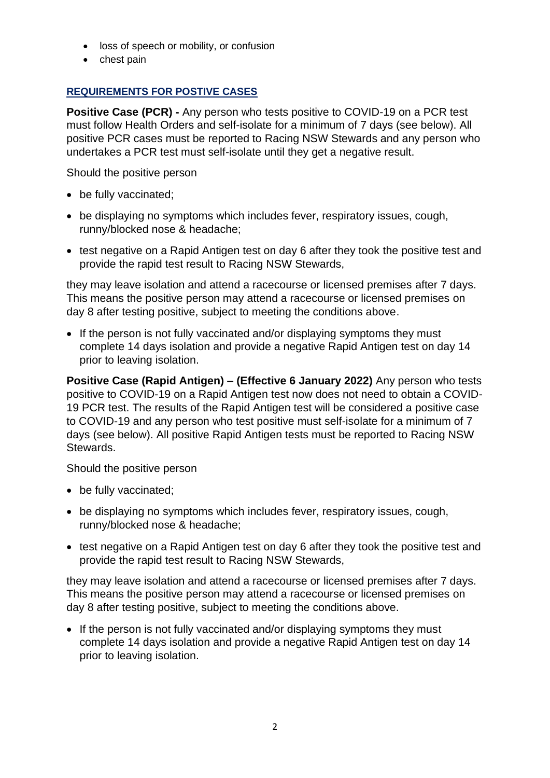- loss of speech or mobility, or confusion
- chest pain

# **REQUIREMENTS FOR POSTIVE CASES**

**Positive Case (PCR) -** Any person who tests positive to COVID-19 on a PCR test must follow Health Orders and self-isolate for a minimum of 7 days (see below). All positive PCR cases must be reported to Racing NSW Stewards and any person who undertakes a PCR test must self-isolate until they get a negative result.

Should the positive person

- be fully vaccinated;
- be displaying no symptoms which includes fever, respiratory issues, cough, runny/blocked nose & headache;
- test negative on a Rapid Antigen test on day 6 after they took the positive test and provide the rapid test result to Racing NSW Stewards,

they may leave isolation and attend a racecourse or licensed premises after 7 days. This means the positive person may attend a racecourse or licensed premises on day 8 after testing positive, subject to meeting the conditions above.

• If the person is not fully vaccinated and/or displaying symptoms they must complete 14 days isolation and provide a negative Rapid Antigen test on day 14 prior to leaving isolation.

**Positive Case (Rapid Antigen) – (Effective 6 January 2022)** Any person who tests positive to COVID-19 on a Rapid Antigen test now does not need to obtain a COVID-19 PCR test. The results of the Rapid Antigen test will be considered a positive case to COVID-19 and any person who test positive must self-isolate for a minimum of 7 days (see below). All positive Rapid Antigen tests must be reported to Racing NSW Stewards.

Should the positive person

- be fully vaccinated;
- be displaying no symptoms which includes fever, respiratory issues, cough, runny/blocked nose & headache;
- test negative on a Rapid Antigen test on day 6 after they took the positive test and provide the rapid test result to Racing NSW Stewards,

they may leave isolation and attend a racecourse or licensed premises after 7 days. This means the positive person may attend a racecourse or licensed premises on day 8 after testing positive, subject to meeting the conditions above.

• If the person is not fully vaccinated and/or displaying symptoms they must complete 14 days isolation and provide a negative Rapid Antigen test on day 14 prior to leaving isolation.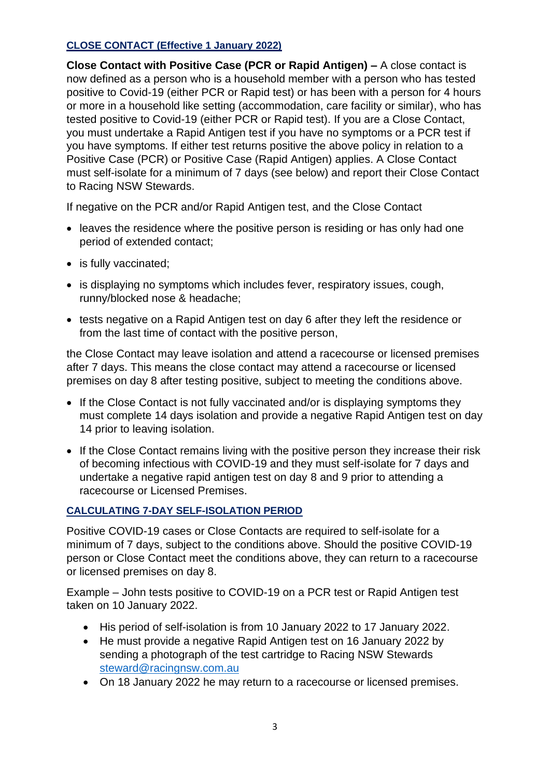# **CLOSE CONTACT (Effective 1 January 2022)**

**Close Contact with Positive Case (PCR or Rapid Antigen) –** A close contact is now defined as a person who is a household member with a person who has tested positive to Covid-19 (either PCR or Rapid test) or has been with a person for 4 hours or more in a household like setting (accommodation, care facility or similar), who has tested positive to Covid-19 (either PCR or Rapid test). If you are a Close Contact, you must undertake a Rapid Antigen test if you have no symptoms or a PCR test if you have symptoms. If either test returns positive the above policy in relation to a Positive Case (PCR) or Positive Case (Rapid Antigen) applies. A Close Contact must self-isolate for a minimum of 7 days (see below) and report their Close Contact to Racing NSW Stewards.

If negative on the PCR and/or Rapid Antigen test, and the Close Contact

- leaves the residence where the positive person is residing or has only had one period of extended contact;
- is fully vaccinated;
- is displaying no symptoms which includes fever, respiratory issues, cough, runny/blocked nose & headache;
- tests negative on a Rapid Antigen test on day 6 after they left the residence or from the last time of contact with the positive person,

the Close Contact may leave isolation and attend a racecourse or licensed premises after 7 days. This means the close contact may attend a racecourse or licensed premises on day 8 after testing positive, subject to meeting the conditions above.

- If the Close Contact is not fully vaccinated and/or is displaying symptoms they must complete 14 days isolation and provide a negative Rapid Antigen test on day 14 prior to leaving isolation.
- If the Close Contact remains living with the positive person they increase their risk of becoming infectious with COVID-19 and they must self-isolate for 7 days and undertake a negative rapid antigen test on day 8 and 9 prior to attending a racecourse or Licensed Premises.

# **CALCULATING 7-DAY SELF-ISOLATION PERIOD**

Positive COVID-19 cases or Close Contacts are required to self-isolate for a minimum of 7 days, subject to the conditions above. Should the positive COVID-19 person or Close Contact meet the conditions above, they can return to a racecourse or licensed premises on day 8.

Example – John tests positive to COVID-19 on a PCR test or Rapid Antigen test taken on 10 January 2022.

- His period of self-isolation is from 10 January 2022 to 17 January 2022.
- He must provide a negative Rapid Antigen test on 16 January 2022 by sending a photograph of the test cartridge to Racing NSW Stewards [steward@racingnsw.com.au](mailto:steward@racingnsw.com.au)
- On 18 January 2022 he may return to a racecourse or licensed premises.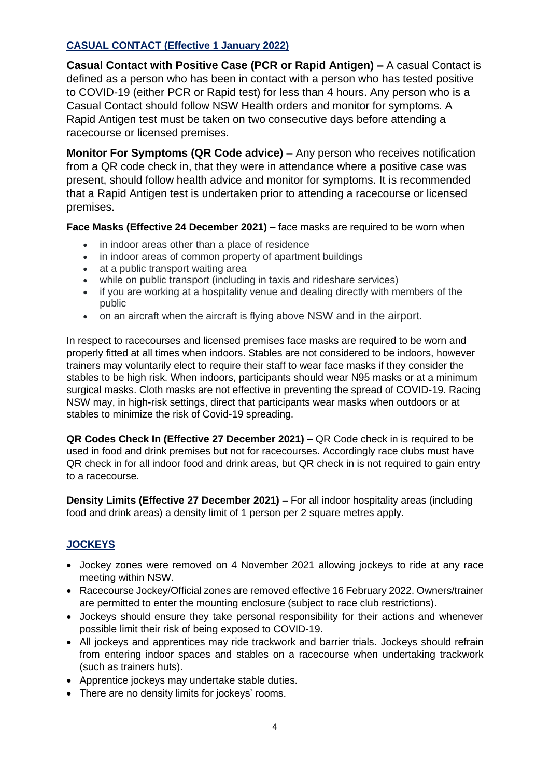## **CASUAL CONTACT (Effective 1 January 2022)**

**Casual Contact with Positive Case (PCR or Rapid Antigen) –** A casual Contact is defined as a person who has been in contact with a person who has tested positive to COVID-19 (either PCR or Rapid test) for less than 4 hours. Any person who is a Casual Contact should follow NSW Health orders and monitor for symptoms. A Rapid Antigen test must be taken on two consecutive days before attending a racecourse or licensed premises.

**Monitor For Symptoms (QR Code advice) –** Any person who receives notification from a QR code check in, that they were in attendance where a positive case was present, should follow health advice and monitor for symptoms. It is recommended that a Rapid Antigen test is undertaken prior to attending a racecourse or licensed premises.

**Face Masks (Effective 24 December 2021) –** face masks are required to be worn when

- in indoor areas other than a place of residence
- in indoor areas of common property of apartment buildings
- at a public transport waiting area
- while on public transport (including in taxis and rideshare services)
- if you are working at a hospitality venue and dealing directly with members of the public
- on an aircraft when the aircraft is flying above NSW and in the airport.

In respect to racecourses and licensed premises face masks are required to be worn and properly fitted at all times when indoors. Stables are not considered to be indoors, however trainers may voluntarily elect to require their staff to wear face masks if they consider the stables to be high risk. When indoors, participants should wear N95 masks or at a minimum surgical masks. Cloth masks are not effective in preventing the spread of COVID-19. Racing NSW may, in high-risk settings, direct that participants wear masks when outdoors or at stables to minimize the risk of Covid-19 spreading.

**QR Codes Check In (Effective 27 December 2021) –** QR Code check in is required to be used in food and drink premises but not for racecourses. Accordingly race clubs must have QR check in for all indoor food and drink areas, but QR check in is not required to gain entry to a racecourse.

**Density Limits (Effective 27 December 2021) –** For all indoor hospitality areas (including food and drink areas) a density limit of 1 person per 2 square metres apply.

## **JOCKEYS**

- Jockey zones were removed on 4 November 2021 allowing jockeys to ride at any race meeting within NSW.
- Racecourse Jockey/Official zones are removed effective 16 February 2022. Owners/trainer are permitted to enter the mounting enclosure (subject to race club restrictions).
- Jockeys should ensure they take personal responsibility for their actions and whenever possible limit their risk of being exposed to COVID-19.
- All jockeys and apprentices may ride trackwork and barrier trials. Jockeys should refrain from entering indoor spaces and stables on a racecourse when undertaking trackwork (such as trainers huts).
- Apprentice jockeys may undertake stable duties.
- There are no density limits for jockeys' rooms.